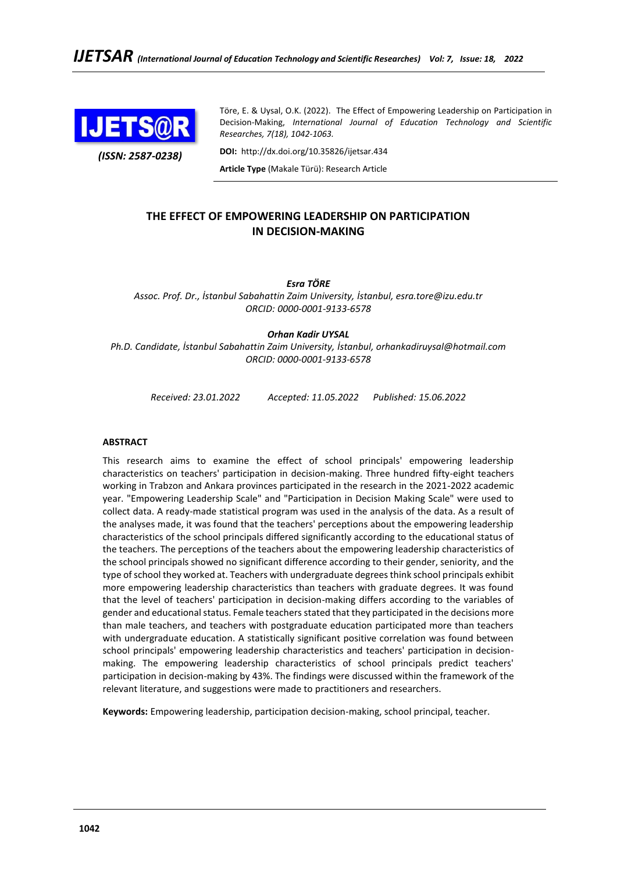

*(ISSN: 2587-0238)*

Töre, E. & Uysal, O.K. (2022). The Effect of Empowering Leadership on Participation in Decision-Making, *International Journal of Education Technology and Scientific Researches, 7(18), 1042-1063.*

**DOI:** http://dx.doi.org/10.35826/ijetsar.434

**Article Type** (Makale Türü): Research Article

## **THE EFFECT OF EMPOWERING LEADERSHIP ON PARTICIPATION IN DECISION-MAKING**

*Esra TÖRE*

*Assoc. Prof. Dr., İstanbul Sabahattin Zaim University, İstanbul, esra.tore@izu.edu.tr ORCID: 0000-0001-9133-6578*

## *Orhan Kadir UYSAL*

*Ph.D. Candidate, İstanbul Sabahattin Zaim University, İstanbul, orhankadiruysal@hotmail.com ORCID: 0000-0001-9133-6578*

*Received: 23.01.2022 Accepted: 11.05.2022 Published: 15.06.2022*

## **ABSTRACT**

This research aims to examine the effect of school principals' empowering leadership characteristics on teachers' participation in decision-making. Three hundred fifty-eight teachers working in Trabzon and Ankara provinces participated in the research in the 2021-2022 academic year. "Empowering Leadership Scale" and "Participation in Decision Making Scale" were used to collect data. A ready-made statistical program was used in the analysis of the data. As a result of the analyses made, it was found that the teachers' perceptions about the empowering leadership characteristics of the school principals differed significantly according to the educational status of the teachers. The perceptions of the teachers about the empowering leadership characteristics of the school principals showed no significant difference according to their gender, seniority, and the type of school they worked at. Teachers with undergraduate degrees think school principals exhibit more empowering leadership characteristics than teachers with graduate degrees. It was found that the level of teachers' participation in decision-making differs according to the variables of gender and educational status. Female teachers stated that they participated in the decisions more than male teachers, and teachers with postgraduate education participated more than teachers with undergraduate education. A statistically significant positive correlation was found between school principals' empowering leadership characteristics and teachers' participation in decisionmaking. The empowering leadership characteristics of school principals predict teachers' participation in decision-making by 43%. The findings were discussed within the framework of the relevant literature, and suggestions were made to practitioners and researchers.

**Keywords:** Empowering leadership, participation decision-making, school principal, teacher.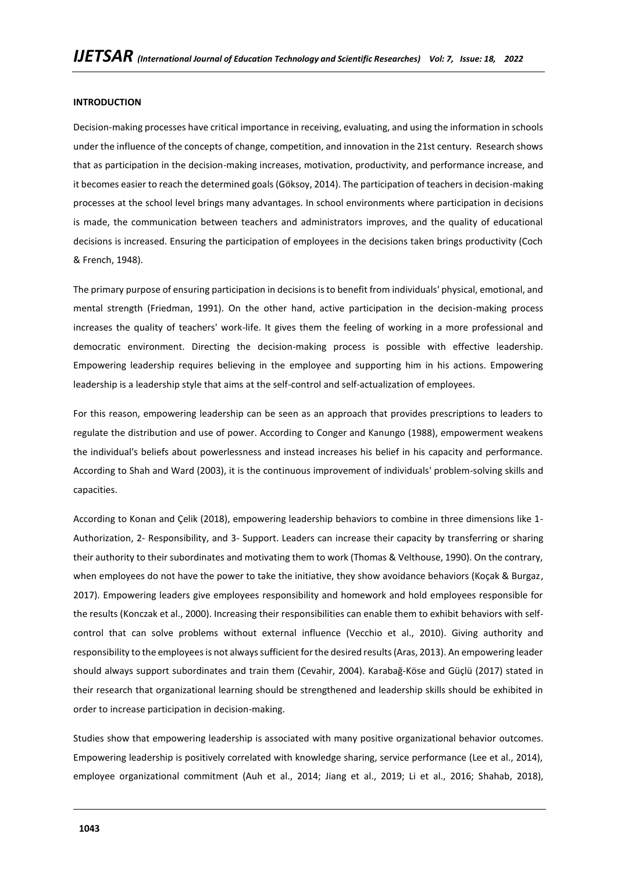### **INTRODUCTION**

Decision-making processes have critical importance in receiving, evaluating, and using the information in schools under the influence of the concepts of change, competition, and innovation in the 21st century. Research shows that as participation in the decision-making increases, motivation, productivity, and performance increase, and it becomes easier to reach the determined goals (Göksoy, 2014). The participation of teachers in decision-making processes at the school level brings many advantages. In school environments where participation in decisions is made, the communication between teachers and administrators improves, and the quality of educational decisions is increased. Ensuring the participation of employees in the decisions taken brings productivity (Coch & French, 1948).

The primary purpose of ensuring participation in decisions is to benefit from individuals' physical, emotional, and mental strength (Friedman, 1991). On the other hand, active participation in the decision-making process increases the quality of teachers' work-life. It gives them the feeling of working in a more professional and democratic environment. Directing the decision-making process is possible with effective leadership. Empowering leadership requires believing in the employee and supporting him in his actions. Empowering leadership is a leadership style that aims at the self-control and self-actualization of employees.

For this reason, empowering leadership can be seen as an approach that provides prescriptions to leaders to regulate the distribution and use of power. According to Conger and Kanungo (1988), empowerment weakens the individual's beliefs about powerlessness and instead increases his belief in his capacity and performance. According to Shah and Ward (2003), it is the continuous improvement of individuals' problem-solving skills and capacities.

According to Konan and Çelik (2018), empowering leadership behaviors to combine in three dimensions like 1- Authorization, 2- Responsibility, and 3- Support. Leaders can increase their capacity by transferring or sharing their authority to their subordinates and motivating them to work (Thomas & Velthouse, 1990). On the contrary, when employees do not have the power to take the initiative, they show avoidance behaviors (Koçak & Burgaz, 2017). Empowering leaders give employees responsibility and homework and hold employees responsible for the results (Konczak et al., 2000). Increasing their responsibilities can enable them to exhibit behaviors with selfcontrol that can solve problems without external influence (Vecchio et al., 2010). Giving authority and responsibility to the employees is not always sufficient for the desired results (Aras, 2013). An empowering leader should always support subordinates and train them (Cevahir, 2004). Karabağ-Köse and Güçlü (2017) stated in their research that organizational learning should be strengthened and leadership skills should be exhibited in order to increase participation in decision-making.

Studies show that empowering leadership is associated with many positive organizational behavior outcomes. Empowering leadership is positively correlated with knowledge sharing, service performance (Lee et al., 2014), employee organizational commitment (Auh et al., 2014; Jiang et al., 2019; Li et al., 2016; Shahab, 2018),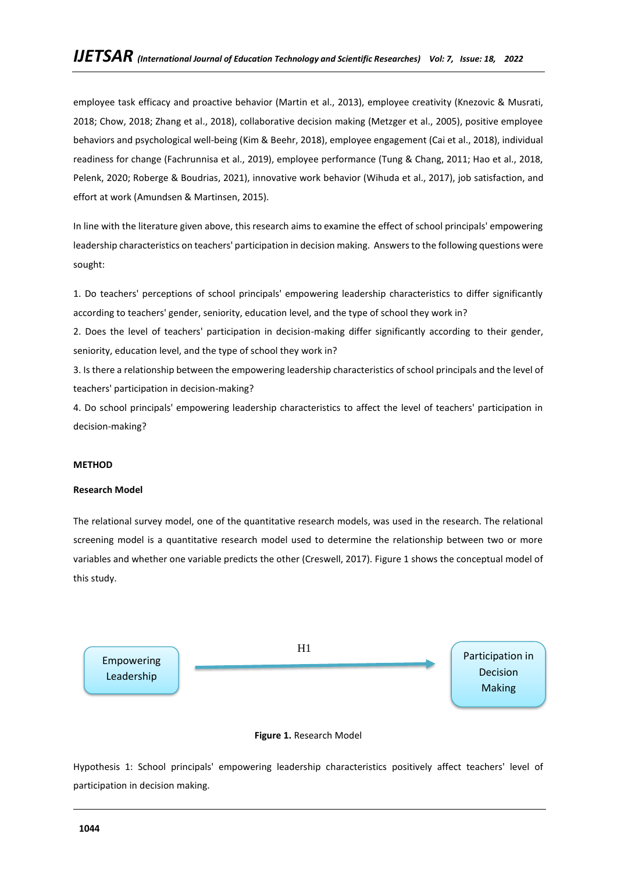employee task efficacy and proactive behavior (Martin et al., 2013), employee creativity (Knezovic & Musrati, 2018; Chow, 2018; Zhang et al., 2018), collaborative decision making (Metzger et al., 2005), positive employee behaviors and psychological well-being (Kim & Beehr, 2018), employee engagement (Cai et al., 2018), individual readiness for change (Fachrunnisa et al., 2019), employee performance (Tung & Chang, 2011; Hao et al., 2018, Pelenk, 2020; Roberge & Boudrias, 2021), innovative work behavior (Wihuda et al., 2017), job satisfaction, and effort at work (Amundsen & Martinsen, 2015).

In line with the literature given above, this research aims to examine the effect of school principals' empowering leadership characteristics on teachers' participation in decision making. Answers to the following questions were sought:

1. Do teachers' perceptions of school principals' empowering leadership characteristics to differ significantly according to teachers' gender, seniority, education level, and the type of school they work in?

2. Does the level of teachers' participation in decision-making differ significantly according to their gender, seniority, education level, and the type of school they work in?

3. Is there a relationship between the empowering leadership characteristics of school principals and the level of teachers' participation in decision-making?

4. Do school principals' empowering leadership characteristics to affect the level of teachers' participation in decision-making?

## **METHOD**

### **Research Model**

The relational survey model, one of the quantitative research models, was used in the research. The relational screening model is a quantitative research model used to determine the relationship between two or more variables and whether one variable predicts the other (Creswell, 2017). Figure 1 shows the conceptual model of this study.





Hypothesis 1: School principals' empowering leadership characteristics positively affect teachers' level of participation in decision making.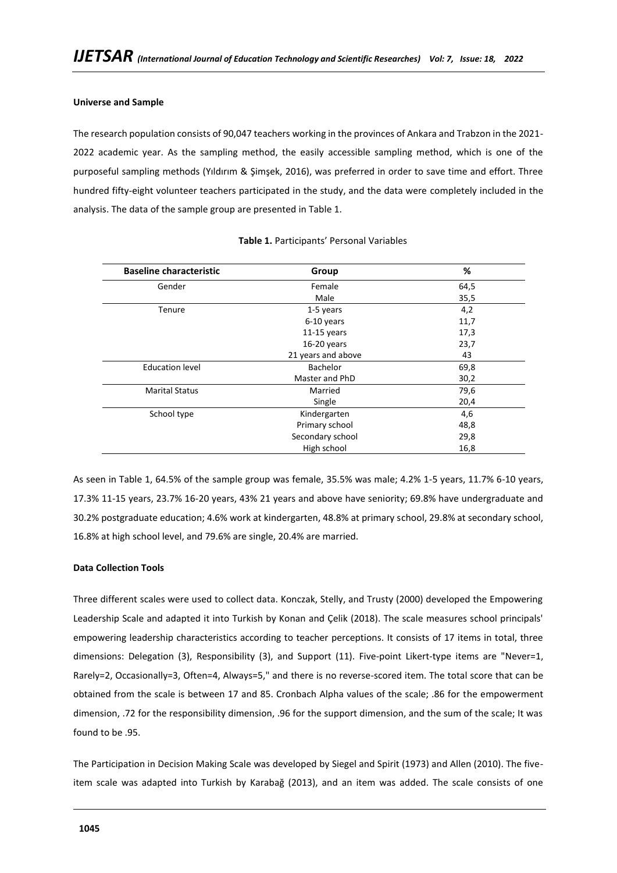## **Universe and Sample**

The research population consists of 90,047 teachers working in the provinces of Ankara and Trabzon in the 2021- 2022 academic year. As the sampling method, the easily accessible sampling method, which is one of the purposeful sampling methods (Yıldırım & Şimşek, 2016), was preferred in order to save time and effort. Three hundred fifty-eight volunteer teachers participated in the study, and the data were completely included in the analysis. The data of the sample group are presented in Table 1.

| <b>Baseline characteristic</b> | Group              | %    |
|--------------------------------|--------------------|------|
| Gender                         | Female             | 64,5 |
|                                | Male               | 35,5 |
| Tenure                         | 1-5 years          | 4,2  |
|                                | 6-10 years         | 11,7 |
|                                | $11-15$ years      | 17,3 |
|                                | $16-20$ years      | 23,7 |
|                                | 21 years and above | 43   |
| <b>Education level</b>         | Bachelor           | 69,8 |
|                                | Master and PhD     | 30,2 |
| <b>Marital Status</b>          | Married            | 79,6 |
|                                | Single             | 20,4 |
| School type                    | Kindergarten       | 4,6  |
|                                | Primary school     | 48,8 |
|                                | Secondary school   | 29,8 |
|                                | High school        | 16,8 |

### **Table 1.** Participants' Personal Variables

As seen in Table 1, 64.5% of the sample group was female, 35.5% was male; 4.2% 1-5 years, 11.7% 6-10 years, 17.3% 11-15 years, 23.7% 16-20 years, 43% 21 years and above have seniority; 69.8% have undergraduate and 30.2% postgraduate education; 4.6% work at kindergarten, 48.8% at primary school, 29.8% at secondary school, 16.8% at high school level, and 79.6% are single, 20.4% are married.

## **Data Collection Tools**

Three different scales were used to collect data. Konczak, Stelly, and Trusty (2000) developed the Empowering Leadership Scale and adapted it into Turkish by Konan and Çelik (2018). The scale measures school principals' empowering leadership characteristics according to teacher perceptions. It consists of 17 items in total, three dimensions: Delegation (3), Responsibility (3), and Support (11). Five-point Likert-type items are "Never=1, Rarely=2, Occasionally=3, Often=4, Always=5," and there is no reverse-scored item. The total score that can be obtained from the scale is between 17 and 85. Cronbach Alpha values of the scale; .86 for the empowerment dimension, .72 for the responsibility dimension, .96 for the support dimension, and the sum of the scale; It was found to be .95.

The Participation in Decision Making Scale was developed by Siegel and Spirit (1973) and Allen (2010). The fiveitem scale was adapted into Turkish by Karabağ (2013), and an item was added. The scale consists of one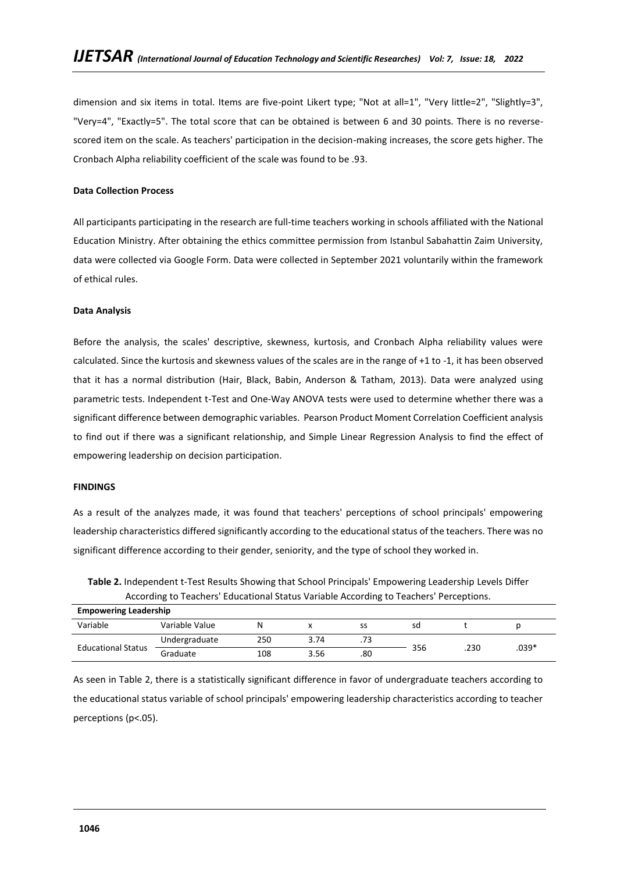dimension and six items in total. Items are five-point Likert type; "Not at all=1", "Very little=2", "Slightly=3", "Very=4", "Exactly=5". The total score that can be obtained is between 6 and 30 points. There is no reversescored item on the scale. As teachers' participation in the decision-making increases, the score gets higher. The Cronbach Alpha reliability coefficient of the scale was found to be .93.

## **Data Collection Process**

All participants participating in the research are full-time teachers working in schools affiliated with the National Education Ministry. After obtaining the ethics committee permission from Istanbul Sabahattin Zaim University, data were collected via Google Form. Data were collected in September 2021 voluntarily within the framework of ethical rules.

### **Data Analysis**

Before the analysis, the scales' descriptive, skewness, kurtosis, and Cronbach Alpha reliability values were calculated. Since the kurtosis and skewness values of the scales are in the range of +1 to -1, it has been observed that it has a normal distribution (Hair, Black, Babin, Anderson & Tatham, 2013). Data were analyzed using parametric tests. Independent t-Test and One-Way ANOVA tests were used to determine whether there was a significant difference between demographic variables. Pearson Product Moment Correlation Coefficient analysis to find out if there was a significant relationship, and Simple Linear Regression Analysis to find the effect of empowering leadership on decision participation.

### **FINDINGS**

As a result of the analyzes made, it was found that teachers' perceptions of school principals' empowering leadership characteristics differed significantly according to the educational status of the teachers. There was no significant difference according to their gender, seniority, and the type of school they worked in.

| <b>Empowering Leadership</b> |                |     |      |     |     |      |         |  |
|------------------------------|----------------|-----|------|-----|-----|------|---------|--|
| Variable                     | Variable Value |     |      | SS  | sd  |      |         |  |
|                              | Undergraduate  | 250 | 3.74 | .73 |     |      |         |  |
| <b>Educational Status</b>    | Graduate       | 108 | 3.56 | .80 | 356 | .230 | $.039*$ |  |

**Table 2.** Independent t-Test Results Showing that School Principals' Empowering Leadership Levels Differ According to Teachers' Educational Status Variable According to Teachers' Perceptions.

As seen in Table 2, there is a statistically significant difference in favor of undergraduate teachers according to the educational status variable of school principals' empowering leadership characteristics according to teacher perceptions (p<.05).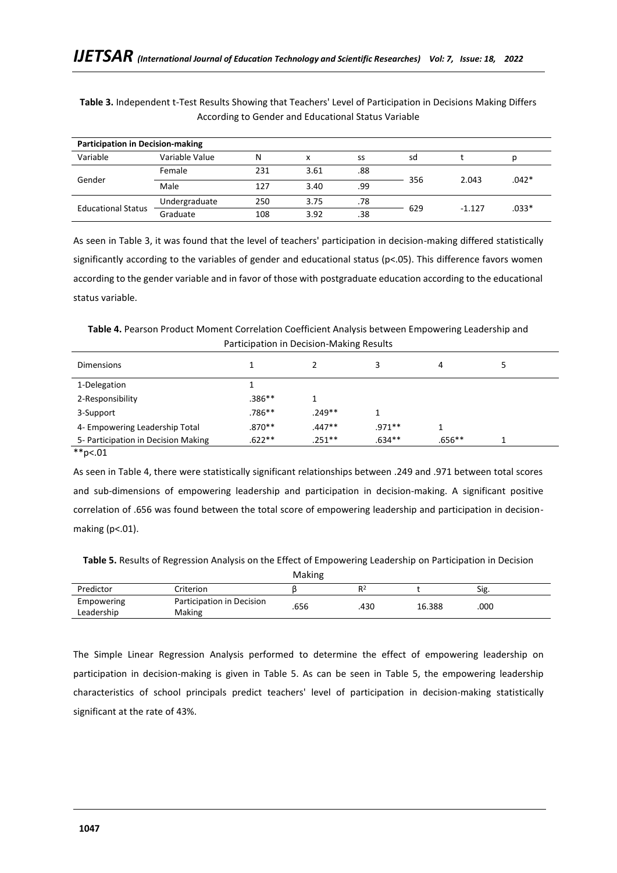| <b>Participation in Decision-making</b> |                |     |      |     |     |          |         |  |
|-----------------------------------------|----------------|-----|------|-----|-----|----------|---------|--|
| Variable                                | Variable Value | Ν   | x    | SS  | sd  |          |         |  |
|                                         | Female         | 231 | 3.61 | .88 |     |          |         |  |
| Gender                                  | Male           | 127 | 3.40 | .99 | 356 | 2.043    | .042*   |  |
|                                         | Undergraduate  | 250 | 3.75 | .78 |     | $-1.127$ | $.033*$ |  |
| <b>Educational Status</b>               | Graduate       | 108 | 3.92 | .38 | 629 |          |         |  |

**Table 3.** Independent t-Test Results Showing that Teachers' Level of Participation in Decisions Making Differs According to Gender and Educational Status Variable

As seen in Table 3, it was found that the level of teachers' participation in decision-making differed statistically significantly according to the variables of gender and educational status ( $p<0.05$ ). This difference favors women according to the gender variable and in favor of those with postgraduate education according to the educational status variable.

**Table 4.** Pearson Product Moment Correlation Coefficient Analysis between Empowering Leadership and Participation in Decision-Making Results

| <b>Dimensions</b>                   |          |          |          | 4        |  |
|-------------------------------------|----------|----------|----------|----------|--|
| 1-Delegation                        |          |          |          |          |  |
| 2-Responsibility                    | $.386**$ |          |          |          |  |
| 3-Support                           | .786**   | $.249**$ |          |          |  |
| 4- Empowering Leadership Total      | $.870**$ | $.447**$ | $.971**$ |          |  |
| 5- Participation in Decision Making | $.622**$ | .251**   | $.634**$ | $.656**$ |  |

\*\*p<.01

As seen in Table 4, there were statistically significant relationships between .249 and .971 between total scores and sub-dimensions of empowering leadership and participation in decision-making. A significant positive correlation of .656 was found between the total score of empowering leadership and participation in decisionmaking (p<.01).

**Table 5.** Results of Regression Analysis on the Effect of Empowering Leadership on Participation in Decision

|                          |                                     | Making |                |        |      |
|--------------------------|-------------------------------------|--------|----------------|--------|------|
| Predictor                | -criterion                          |        | R <sup>2</sup> |        | Sig. |
| Empowering<br>Leadership | Participation in Decision<br>Making | .656   | .430           | 16.388 | .000 |
|                          |                                     |        |                |        |      |

The Simple Linear Regression Analysis performed to determine the effect of empowering leadership on participation in decision-making is given in Table 5. As can be seen in Table 5, the empowering leadership characteristics of school principals predict teachers' level of participation in decision-making statistically significant at the rate of 43%.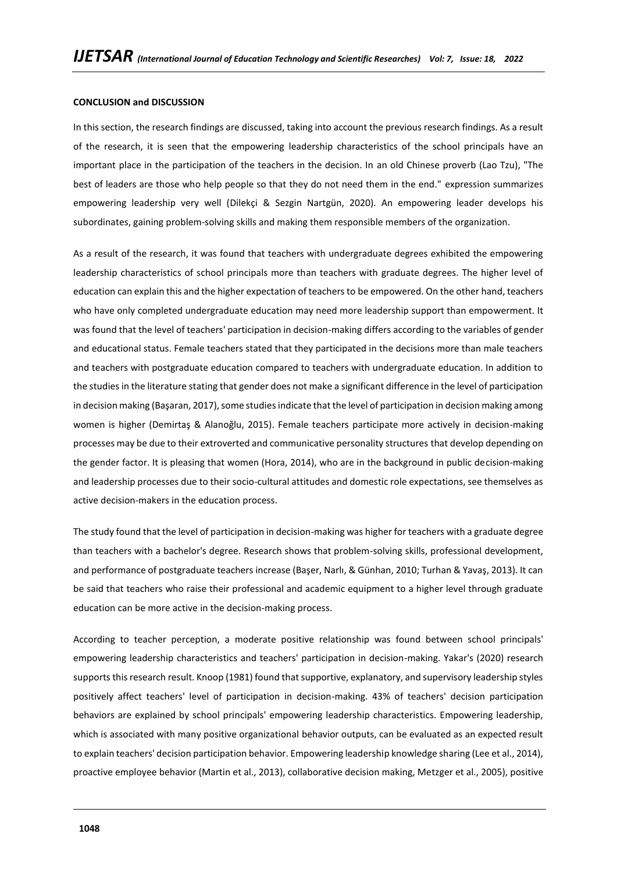### **CONCLUSION and DISCUSSION**

In this section, the research findings are discussed, taking into account the previous research findings. As a result of the research, it is seen that the empowering leadership characteristics of the school principals have an important place in the participation of the teachers in the decision. In an old Chinese proverb (Lao Tzu), "The best of leaders are those who help people so that they do not need them in the end." expression summarizes empowering leadership very well (Dilekçi & Sezgin Nartgün, 2020). An empowering leader develops his subordinates, gaining problem-solving skills and making them responsible members of the organization.

As a result of the research, it was found that teachers with undergraduate degrees exhibited the empowering leadership characteristics of school principals more than teachers with graduate degrees. The higher level of education can explain this and the higher expectation of teachers to be empowered. On the other hand, teachers who have only completed undergraduate education may need more leadership support than empowerment. It was found that the level of teachers' participation in decision-making differs according to the variables of gender and educational status. Female teachers stated that they participated in the decisions more than male teachers and teachers with postgraduate education compared to teachers with undergraduate education. In addition to the studies in the literature stating that gender does not make a significant difference in the level of participation in decision making (Başaran, 2017), some studies indicate that the level of participation in decision making among women is higher (Demirtaş & Alanoğlu, 2015). Female teachers participate more actively in decision-making processes may be due to their extroverted and communicative personality structures that develop depending on the gender factor. It is pleasing that women (Hora, 2014), who are in the background in public decision-making and leadership processes due to their socio-cultural attitudes and domestic role expectations, see themselves as active decision-makers in the education process.

The study found that the level of participation in decision-making was higher for teachers with a graduate degree than teachers with a bachelor's degree. Research shows that problem-solving skills, professional development, and performance of postgraduate teachers increase (Başer, Narlı, & Günhan, 2010; Turhan & Yavaş, 2013). It can be said that teachers who raise their professional and academic equipment to a higher level through graduate education can be more active in the decision-making process.

According to teacher perception, a moderate positive relationship was found between school principals' empowering leadership characteristics and teachers' participation in decision-making. Yakar's (2020) research supports this research result. Knoop (1981) found that supportive, explanatory, and supervisory leadership styles positively affect teachers' level of participation in decision-making. 43% of teachers' decision participation behaviors are explained by school principals' empowering leadership characteristics. Empowering leadership, which is associated with many positive organizational behavior outputs, can be evaluated as an expected result to explain teachers' decision participation behavior. Empowering leadership knowledge sharing (Lee et al., 2014), proactive employee behavior (Martin et al., 2013), collaborative decision making, Metzger et al., 2005), positive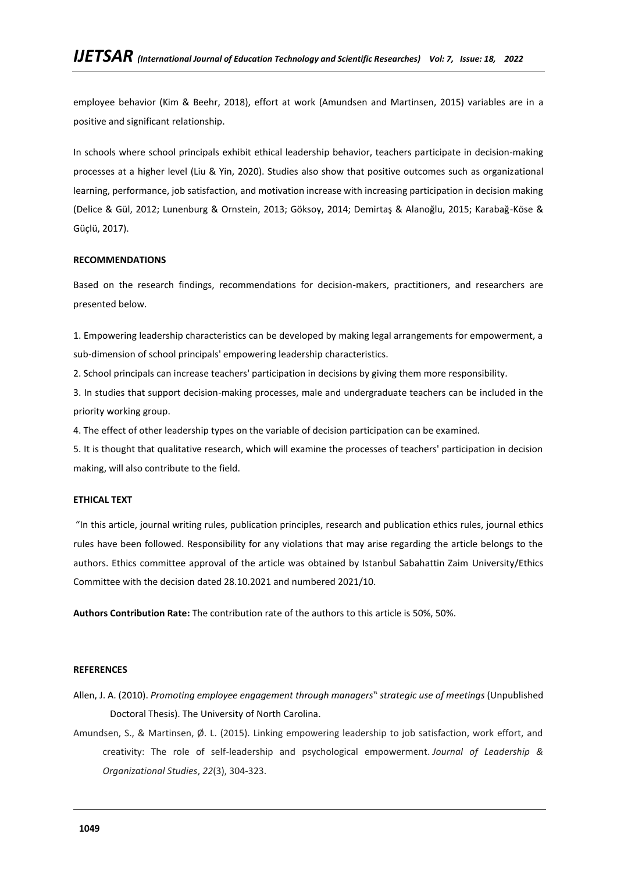employee behavior (Kim & Beehr, 2018), effort at work (Amundsen and Martinsen, 2015) variables are in a positive and significant relationship.

In schools where school principals exhibit ethical leadership behavior, teachers participate in decision-making processes at a higher level (Liu & Yin, 2020). Studies also show that positive outcomes such as organizational learning, performance, job satisfaction, and motivation increase with increasing participation in decision making (Delice & Gül, 2012; Lunenburg & Ornstein, 2013; Göksoy, 2014; Demirtaş & Alanoğlu, 2015; Karabağ-Köse & Güçlü, 2017).

## **RECOMMENDATIONS**

Based on the research findings, recommendations for decision-makers, practitioners, and researchers are presented below.

1. Empowering leadership characteristics can be developed by making legal arrangements for empowerment, a sub-dimension of school principals' empowering leadership characteristics.

2. School principals can increase teachers' participation in decisions by giving them more responsibility.

3. In studies that support decision-making processes, male and undergraduate teachers can be included in the priority working group.

4. The effect of other leadership types on the variable of decision participation can be examined.

5. It is thought that qualitative research, which will examine the processes of teachers' participation in decision making, will also contribute to the field.

### **ETHICAL TEXT**

"In this article, journal writing rules, publication principles, research and publication ethics rules, journal ethics rules have been followed. Responsibility for any violations that may arise regarding the article belongs to the authors. Ethics committee approval of the article was obtained by Istanbul Sabahattin Zaim University/Ethics Committee with the decision dated 28.10.2021 and numbered 2021/10.

**Authors Contribution Rate:** The contribution rate of the authors to this article is 50%, 50%.

### **REFERENCES**

- Allen, J. A. (2010). *Promoting employee engagement through managers" strategic use of meetings* (Unpublished Doctoral Thesis). The University of North Carolina.
- Amundsen, S., & Martinsen, Ø. L. (2015). Linking empowering leadership to job satisfaction, work effort, and creativity: The role of self-leadership and psychological empowerment. *Journal of Leadership & Organizational Studies*, *22*(3), 304-323.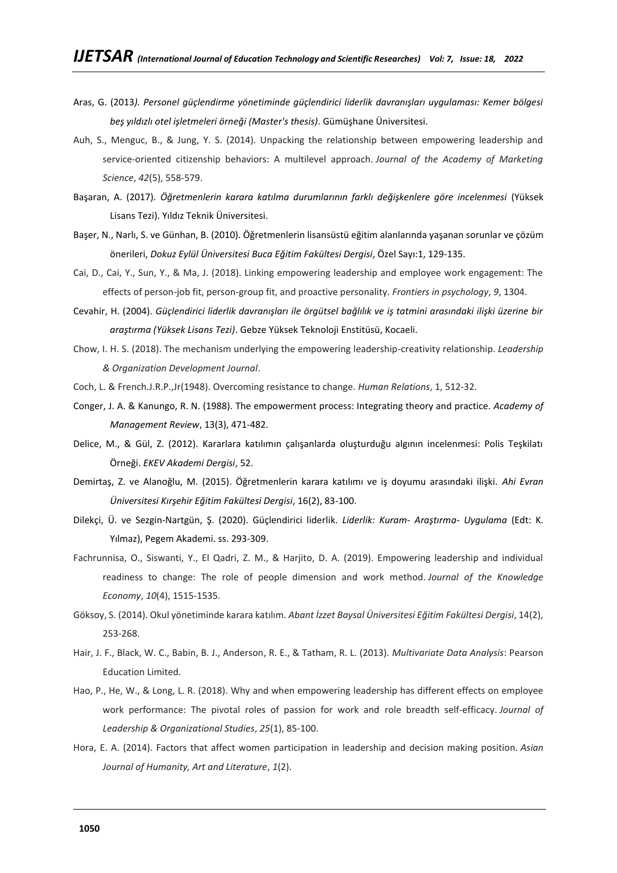- Aras, G. (2013*). Personel güçlendirme yönetiminde güçlendirici liderlik davranışları uygulaması: Kemer bölgesi beş yıldızlı otel işletmeleri örneği (Master's thesis)*. Gümüşhane Üniversitesi.
- Auh, S., Menguc, B., & Jung, Y. S. (2014). Unpacking the relationship between empowering leadership and service-oriented citizenship behaviors: A multilevel approach. *Journal of the Academy of Marketing Science*, *42*(5), 558-579.
- Başaran, A. (2017). *Öğretmenlerin karara katılma durumlarının farklı değişkenlere göre incelenmesi* (Yüksek Lisans Tezi). Yıldız Teknik Üniversitesi.
- Başer, N., Narlı, S. ve Günhan, B. (2010). Öğretmenlerin lisansüstü eğitim alanlarında yaşanan sorunlar ve çözüm önerileri, *Dokuz Eylül Üniversitesi Buca Eğitim Fakültesi Dergisi*, Özel Sayı:1, 129-135.
- Cai, D., Cai, Y., Sun, Y., & Ma, J. (2018). Linking empowering leadership and employee work engagement: The effects of person-job fit, person-group fit, and proactive personality. *Frontiers in psychology*, *9*, 1304.
- Cevahir, H. (2004). *Güçlendirici liderlik davranışları ile örgütsel bağlılık ve iş tatmini arasındaki ilişki üzerine bir araştırma (Yüksek Lisans Tezi)*. Gebze Yüksek Teknoloji Enstitüsü, Kocaeli.
- Chow, I. H. S. (2018). The mechanism underlying the empowering leadership-creativity relationship. *Leadership & Organization Development Journal*.
- Coch, L. & French.J.R.P.,Jr(1948). Overcoming resistance to change. *Human Relations*, 1, 512-32.
- Conger, J. A. & Kanungo, R. N. (1988). The empowerment process: Integrating theory and practice. *Academy of Management Review*, 13(3), 471-482.
- Delice, M., & Gül, Z. (2012). Kararlara katılımın çalışanlarda oluşturduğu algının incelenmesi: Polis Teşkilatı Örneği. *EKEV Akademi Dergisi*, 52.
- Demirtaş, Z. ve Alanoğlu, M. (2015). Öğretmenlerin karara katılımı ve iş doyumu arasındaki ilişki. *Ahi Evran Üniversitesi Kırşehir Eğitim Fakültesi Dergisi*, 16(2), 83-100.
- Dilekçi, Ü. ve Sezgin-Nartgün, Ş. (2020). Güçlendirici liderlik. *Liderlik: Kuram- Araştırma- Uygulama* (Edt: K. Yılmaz), Pegem Akademi. ss. 293-309.
- Fachrunnisa, O., Siswanti, Y., El Qadri, Z. M., & Harjito, D. A. (2019). Empowering leadership and individual readiness to change: The role of people dimension and work method. *Journal of the Knowledge Economy*, *10*(4), 1515-1535.
- Göksoy, S. (2014). Okul yönetiminde karara katılım. *Abant İzzet Baysal Üniversitesi Eğitim Fakültesi Dergisi*, 14(2), 253-268.
- Hair, J. F., Black, W. C., Babin, B. J., Anderson, R. E., & Tatham, R. L. (2013). *Multivariate Data Analysis*: Pearson Education Limited.
- Hao, P., He, W., & Long, L. R. (2018). Why and when empowering leadership has different effects on employee work performance: The pivotal roles of passion for work and role breadth self-efficacy. *Journal of Leadership & Organizational Studies*, *25*(1), 85-100.
- Hora, E. A. (2014). Factors that affect women participation in leadership and decision making position. *Asian Journal of Humanity, Art and Literature*, *1*(2).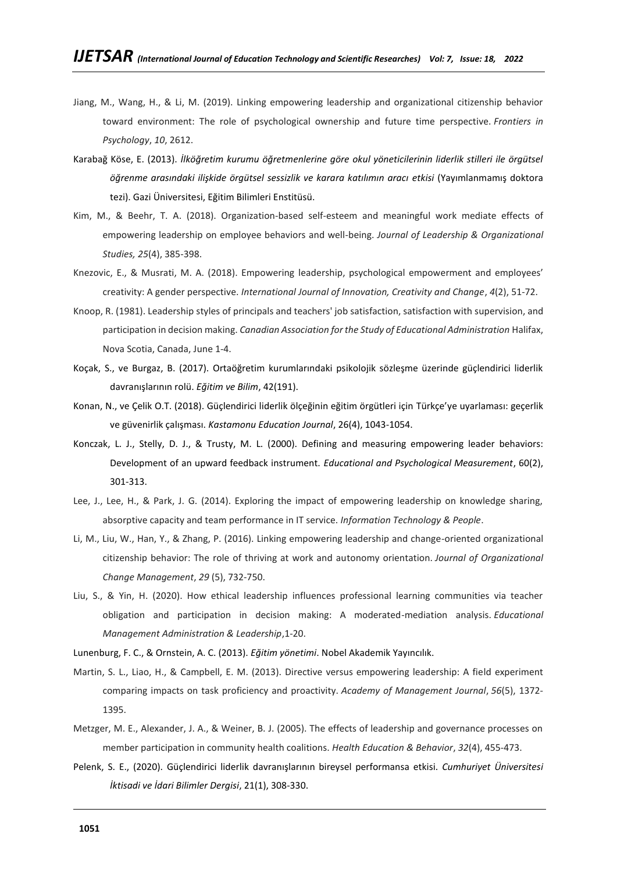- Jiang, M., Wang, H., & Li, M. (2019). Linking empowering leadership and organizational citizenship behavior toward environment: The role of psychological ownership and future time perspective. *Frontiers in Psychology*, *10*, 2612.
- Karabağ Köse, E. (2013). *İlköğretim kurumu öğretmenlerine göre okul yöneticilerinin liderlik stilleri ile örgütsel öğrenme arasındaki ilişkide örgütsel sessizlik ve karara katılımın aracı etkisi* (Yayımlanmamış doktora tezi). Gazi Üniversitesi, Eğitim Bilimleri Enstitüsü.
- Kim, M., & Beehr, T. A. (2018). Organization-based self-esteem and meaningful work mediate effects of empowering leadership on employee behaviors and well-being. *Journal of Leadership & Organizational Studies, 25*(4), 385-398.
- Knezovic, E., & Musrati, M. A. (2018). Empowering leadership, psychological empowerment and employees' creativity: A gender perspective. *International Journal of Innovation, Creativity and Change*, *4*(2), 51-72.
- Knoop, R. (1981). Leadership styles of principals and teachers' job satisfaction, satisfaction with supervision, and participation in decision making. *Canadian Association for the Study of Educational Administration* Halifax, Nova Scotia, Canada, June 1-4.
- Koçak, S., ve Burgaz, B. (2017). Ortaöğretim kurumlarındaki psikolojik sözleşme üzerinde güçlendirici liderlik davranışlarının rolü. *Eğitim ve Bilim*, 42(191).
- Konan, N., ve Çelik O.T. (2018). Güçlendirici liderlik ölçeğinin eğitim örgütleri için Türkçe'ye uyarlaması: geçerlik ve güvenirlik çalışması. *Kastamonu Education Journal*, 26(4), 1043-1054.
- Konczak, L. J., Stelly, D. J., & Trusty, M. L. (2000). Defining and measuring empowering leader behaviors: Development of an upward feedback instrument. *Educational and Psychological Measurement*, 60(2), 301-313.
- Lee, J., Lee, H., & Park, J. G. (2014). Exploring the impact of empowering leadership on knowledge sharing, absorptive capacity and team performance in IT service. *Information Technology & People*.
- Li, M., Liu, W., Han, Y., & Zhang, P. (2016). Linking empowering leadership and change-oriented organizational citizenship behavior: The role of thriving at work and autonomy orientation. *Journal of Organizational Change Management*, *29* (5), 732-750.
- Liu, S., & Yin, H. (2020). How ethical leadership influences professional learning communities via teacher obligation and participation in decision making: A moderated-mediation analysis. *Educational Management Administration & Leadership*,1-20.
- Lunenburg, F. C., & Ornstein, A. C. (2013). *Eğitim yönetimi*. Nobel Akademik Yayıncılık.
- Martin, S. L., Liao, H., & Campbell, E. M. (2013). Directive versus empowering leadership: A field experiment comparing impacts on task proficiency and proactivity. *Academy of Management Journal*, *56*(5), 1372- 1395.
- Metzger, M. E., Alexander, J. A., & Weiner, B. J. (2005). The effects of leadership and governance processes on member participation in community health coalitions. *Health Education & Behavior*, *32*(4), 455-473.
- Pelenk, S. E., (2020). Güçlendirici liderlik davranışlarının bireysel performansa etkisi. *Cumhuriyet Üniversitesi İktisadi ve İdari Bilimler Dergisi*, 21(1), 308-330.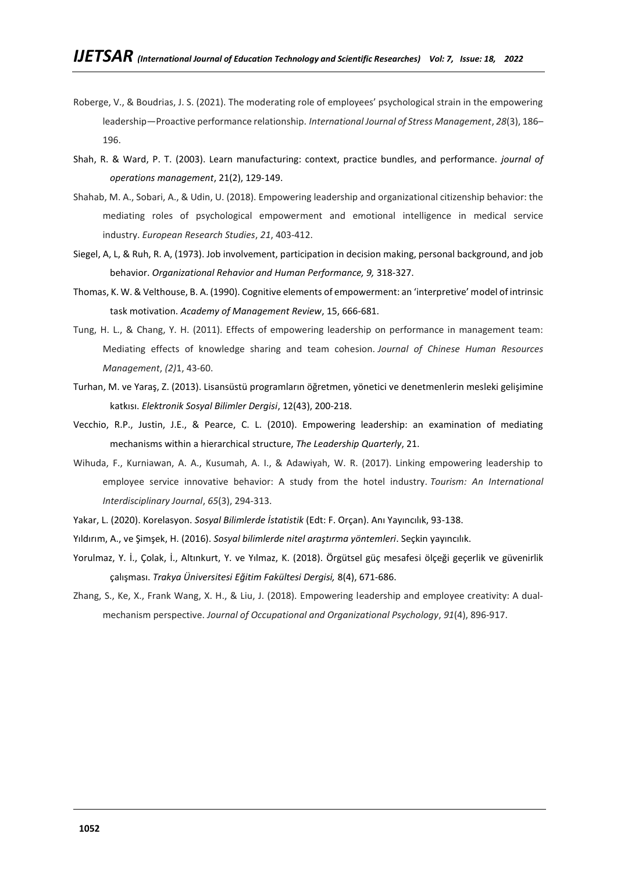- Roberge, V., & Boudrias, J. S. (2021). The moderating role of employees' psychological strain in the empowering leadership—Proactive performance relationship. *International Journal of Stress Management*, *28*(3), 186– 196.
- Shah, R. & Ward, P. T. (2003). Learn manufacturing: context, practice bundles, and performance. *journal of operations management*, 21(2), 129-149.
- Shahab, M. A., Sobari, A., & Udin, U. (2018). Empowering leadership and organizational citizenship behavior: the mediating roles of psychological empowerment and emotional intelligence in medical service industry. *European Research Studies*, *21*, 403-412.
- Siegel, A, L, & Ruh, R. A, (1973). Job involvement, participation in decision making, personal background, and job behavior. *Organizational Rehavior and Human Performance, 9,* 318-327.
- Thomas, K. W. & Velthouse, B. A. (1990). Cognitive elements of empowerment: an 'interpretive' model of intrinsic task motivation. *Academy of Management Review*, 15, 666-681.
- Tung, H. L., & Chang, Y. H. (2011). Effects of empowering leadership on performance in management team: Mediating effects of knowledge sharing and team cohesion. *Journal of Chinese Human Resources Management*, *(2)*1, 43-60.
- Turhan, M. ve Yaraş, Z. (2013). Lisansüstü programların öğretmen, yönetici ve denetmenlerin mesleki gelişimine katkısı. *Elektronik Sosyal Bilimler Dergisi*, 12(43), 200-218.
- Vecchio, R.P., Justin, J.E., & Pearce, C. L. (2010). Empowering leadership: an examination of mediating mechanisms within a hierarchical structure, *The Leadership Quarterly*, 21.
- Wihuda, F., Kurniawan, A. A., Kusumah, A. I., & Adawiyah, W. R. (2017). Linking empowering leadership to employee service innovative behavior: A study from the hotel industry. *Tourism: An International Interdisciplinary Journal*, *65*(3), 294-313.
- Yakar, L. (2020). Korelasyon. *Sosyal Bilimlerde İstatistik* (Edt: F. Orçan). Anı Yayıncılık, 93-138.
- Yıldırım, A., ve Şimşek, H. (2016). *Sosyal bilimlerde nitel araştırma yöntemleri*. Seçkin yayıncılık.
- Yorulmaz, Y. İ., Çolak, İ., Altınkurt, Y. ve Yılmaz, K. (2018). Örgütsel güç mesafesi ölçeği geçerlik ve güvenirlik çalışması. *Trakya Üniversitesi Eğitim Fakültesi Dergisi,* 8(4), 671-686.
- Zhang, S., Ke, X., Frank Wang, X. H., & Liu, J. (2018). Empowering leadership and employee creativity: A dual‐ mechanism perspective. *Journal of Occupational and Organizational Psychology*, *91*(4), 896-917.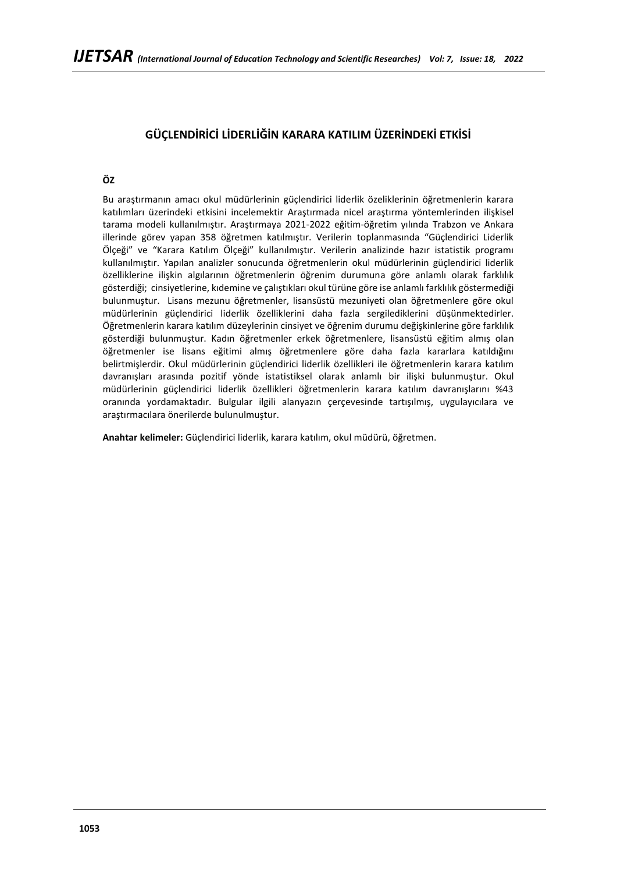# **GÜÇLENDİRİCİ LİDERLİĞİN KARARA KATILIM ÜZERİNDEKİ ETKİSİ**

## **ÖZ**

Bu araştırmanın amacı okul müdürlerinin güçlendirici liderlik özeliklerinin öğretmenlerin karara katılımları üzerindeki etkisini incelemektir Araştırmada nicel araştırma yöntemlerinden ilişkisel tarama modeli kullanılmıştır. Araştırmaya 2021-2022 eğitim-öğretim yılında Trabzon ve Ankara illerinde görev yapan 358 öğretmen katılmıştır. Verilerin toplanmasında "Güçlendirici Liderlik Ölçeği" ve "Karara Katılım Ölçeği" kullanılmıştır. Verilerin analizinde hazır istatistik programı kullanılmıştır. Yapılan analizler sonucunda öğretmenlerin okul müdürlerinin güçlendirici liderlik özelliklerine ilişkin algılarının öğretmenlerin öğrenim durumuna göre anlamlı olarak farklılık gösterdiği; cinsiyetlerine, kıdemine ve çalıştıkları okul türüne göre ise anlamlı farklılık göstermediği bulunmuştur. Lisans mezunu öğretmenler, lisansüstü mezuniyeti olan öğretmenlere göre okul müdürlerinin güçlendirici liderlik özelliklerini daha fazla sergilediklerini düşünmektedirler. Öğretmenlerin karara katılım düzeylerinin cinsiyet ve öğrenim durumu değişkinlerine göre farklılık gösterdiği bulunmuştur. Kadın öğretmenler erkek öğretmenlere, lisansüstü eğitim almış olan öğretmenler ise lisans eğitimi almış öğretmenlere göre daha fazla kararlara katıldığını belirtmişlerdir. Okul müdürlerinin güçlendirici liderlik özellikleri ile öğretmenlerin karara katılım davranışları arasında pozitif yönde istatistiksel olarak anlamlı bir ilişki bulunmuştur. Okul müdürlerinin güçlendirici liderlik özellikleri öğretmenlerin karara katılım davranışlarını %43 oranında yordamaktadır. Bulgular ilgili alanyazın çerçevesinde tartışılmış, uygulayıcılara ve araştırmacılara önerilerde bulunulmuştur.

**Anahtar kelimeler:** Güçlendirici liderlik, karara katılım, okul müdürü, öğretmen.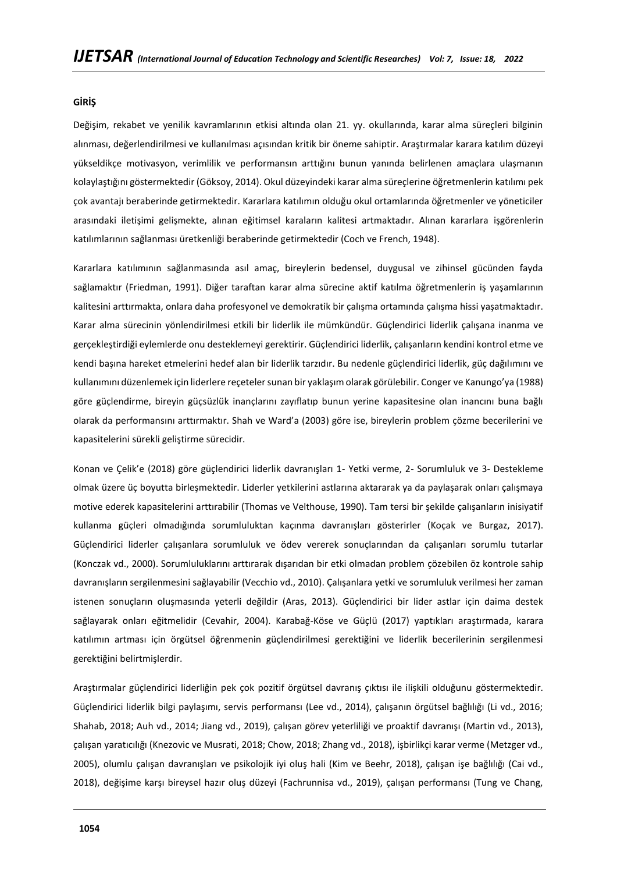### **GİRİŞ**

Değişim, rekabet ve yenilik kavramlarının etkisi altında olan 21. yy. okullarında, karar alma süreçleri bilginin alınması, değerlendirilmesi ve kullanılması açısından kritik bir öneme sahiptir. Araştırmalar karara katılım düzeyi yükseldikçe motivasyon, verimlilik ve performansın arttığını bunun yanında belirlenen amaçlara ulaşmanın kolaylaştığını göstermektedir (Göksoy, 2014). Okul düzeyindeki karar alma süreçlerine öğretmenlerin katılımı pek çok avantajı beraberinde getirmektedir. Kararlara katılımın olduğu okul ortamlarında öğretmenler ve yöneticiler arasındaki iletişimi gelişmekte, alınan eğitimsel karaların kalitesi artmaktadır. Alınan kararlara işgörenlerin katılımlarının sağlanması üretkenliği beraberinde getirmektedir (Coch ve French, 1948).

Kararlara katılımının sağlanmasında asıl amaç, bireylerin bedensel, duygusal ve zihinsel gücünden fayda sağlamaktır (Friedman, 1991). Diğer taraftan karar alma sürecine aktif katılma öğretmenlerin iş yaşamlarının kalitesini arttırmakta, onlara daha profesyonel ve demokratik bir çalışma ortamında çalışma hissi yaşatmaktadır. Karar alma sürecinin yönlendirilmesi etkili bir liderlik ile mümkündür. Güçlendirici liderlik çalışana inanma ve gerçekleştirdiği eylemlerde onu desteklemeyi gerektirir. Güçlendirici liderlik, çalışanların kendini kontrol etme ve kendi başına hareket etmelerini hedef alan bir liderlik tarzıdır. Bu nedenle güçlendirici liderlik, güç dağılımını ve kullanımını düzenlemek için liderlere reçeteler sunan bir yaklaşım olarak görülebilir. Conger ve Kanungo'ya (1988) göre güçlendirme, bireyin güçsüzlük inançlarını zayıflatıp bunun yerine kapasitesine olan inancını buna bağlı olarak da performansını arttırmaktır. Shah ve Ward'a (2003) göre ise, bireylerin problem çözme becerilerini ve kapasitelerini sürekli geliştirme sürecidir.

Konan ve Çelik'e (2018) göre güçlendirici liderlik davranışları 1- Yetki verme, 2- Sorumluluk ve 3- Destekleme olmak üzere üç boyutta birleşmektedir. Liderler yetkilerini astlarına aktararak ya da paylaşarak onları çalışmaya motive ederek kapasitelerini arttırabilir (Thomas ve Velthouse, 1990). Tam tersi bir şekilde çalışanların inisiyatif kullanma güçleri olmadığında sorumluluktan kaçınma davranışları gösterirler (Koçak ve Burgaz, 2017). Güçlendirici liderler çalışanlara sorumluluk ve ödev vererek sonuçlarından da çalışanları sorumlu tutarlar (Konczak vd., 2000). Sorumluluklarını arttırarak dışarıdan bir etki olmadan problem çözebilen öz kontrole sahip davranışların sergilenmesini sağlayabilir (Vecchio vd., 2010). Çalışanlara yetki ve sorumluluk verilmesi her zaman istenen sonuçların oluşmasında yeterli değildir (Aras, 2013). Güçlendirici bir lider astlar için daima destek sağlayarak onları eğitmelidir (Cevahir, 2004). Karabağ-Köse ve Güçlü (2017) yaptıkları araştırmada, karara katılımın artması için örgütsel öğrenmenin güçlendirilmesi gerektiğini ve liderlik becerilerinin sergilenmesi gerektiğini belirtmişlerdir.

Araştırmalar güçlendirici liderliğin pek çok pozitif örgütsel davranış çıktısı ile ilişkili olduğunu göstermektedir. Güçlendirici liderlik bilgi paylaşımı, servis performansı (Lee vd., 2014), çalışanın örgütsel bağlılığı (Li vd., 2016; Shahab, 2018; Auh vd., 2014; Jiang vd., 2019), çalışan görev yeterliliği ve proaktif davranışı (Martin vd., 2013), çalışan yaratıcılığı (Knezovic ve Musrati, 2018; Chow, 2018; Zhang vd., 2018), işbirlikçi karar verme (Metzger vd., 2005), olumlu çalışan davranışları ve psikolojik iyi oluş hali (Kim ve Beehr, 2018), çalışan işe bağlılığı (Cai vd., 2018), değişime karşı bireysel hazır oluş düzeyi (Fachrunnisa vd., 2019), çalışan performansı (Tung ve Chang,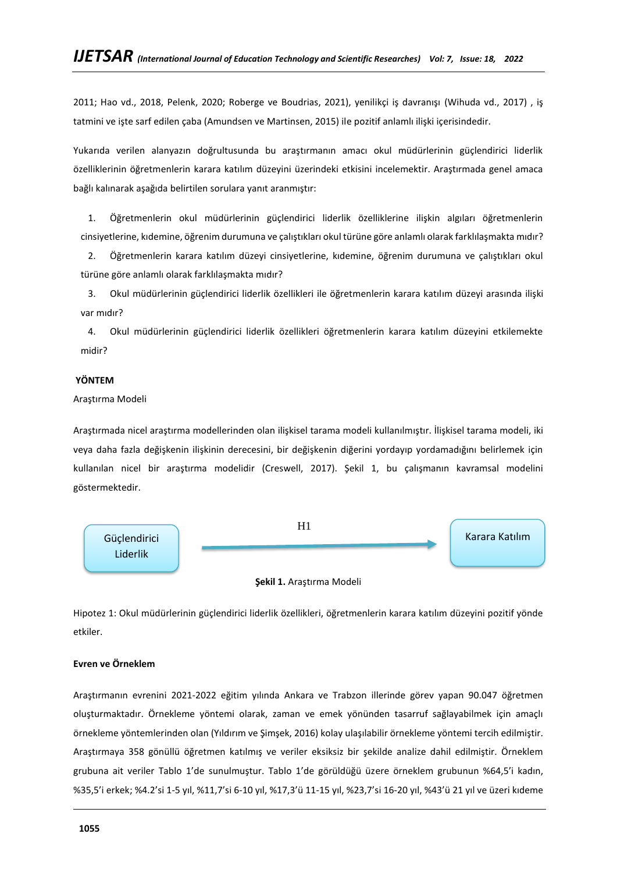2011; Hao vd., 2018, Pelenk, 2020; Roberge ve Boudrias, 2021), yenilikçi iş davranışı (Wihuda vd., 2017) , iş tatmini ve işte sarf edilen çaba (Amundsen ve Martinsen, 2015) ile pozitif anlamlı ilişki içerisindedir.

Yukarıda verilen alanyazın doğrultusunda bu araştırmanın amacı okul müdürlerinin güçlendirici liderlik özelliklerinin öğretmenlerin karara katılım düzeyini üzerindeki etkisini incelemektir. Araştırmada genel amaca bağlı kalınarak aşağıda belirtilen sorulara yanıt aranmıştır:

1. Öğretmenlerin okul müdürlerinin güçlendirici liderlik özelliklerine ilişkin algıları öğretmenlerin cinsiyetlerine, kıdemine, öğrenim durumuna ve çalıştıkları okul türüne göre anlamlı olarak farklılaşmakta mıdır?

2. Öğretmenlerin karara katılım düzeyi cinsiyetlerine, kıdemine, öğrenim durumuna ve çalıştıkları okul türüne göre anlamlı olarak farklılaşmakta mıdır?

3. Okul müdürlerinin güçlendirici liderlik özellikleri ile öğretmenlerin karara katılım düzeyi arasında ilişki var mıdır?

4. Okul müdürlerinin güçlendirici liderlik özellikleri öğretmenlerin karara katılım düzeyini etkilemekte midir?

## **YÖNTEM**

## Araştırma Modeli

Araştırmada nicel araştırma modellerinden olan ilişkisel tarama modeli kullanılmıştır. İlişkisel tarama modeli, iki veya daha fazla değişkenin ilişkinin derecesini, bir değişkenin diğerini yordayıp yordamadığını belirlemek için kullanılan nicel bir araştırma modelidir (Creswell, 2017). Şekil 1, bu çalışmanın kavramsal modelini göstermektedir.



### **Şekil 1.** Araştırma Modeli

Hipotez 1: Okul müdürlerinin güçlendirici liderlik özellikleri, öğretmenlerin karara katılım düzeyini pozitif yönde etkiler.

## **Evren ve Örneklem**

Araştırmanın evrenini 2021-2022 eğitim yılında Ankara ve Trabzon illerinde görev yapan 90.047 öğretmen oluşturmaktadır. Örnekleme yöntemi olarak, zaman ve emek yönünden tasarruf sağlayabilmek için amaçlı örnekleme yöntemlerinden olan (Yıldırım ve Şimşek, 2016) kolay ulaşılabilir örnekleme yöntemi tercih edilmiştir. Araştırmaya 358 gönüllü öğretmen katılmış ve veriler eksiksiz bir şekilde analize dahil edilmiştir. Örneklem grubuna ait veriler Tablo 1'de sunulmuştur. Tablo 1'de görüldüğü üzere örneklem grubunun %64,5'i kadın, %35,5'i erkek; %4.2'si 1-5 yıl, %11,7'si 6-10 yıl, %17,3'ü 11-15 yıl, %23,7'si 16-20 yıl, %43'ü 21 yıl ve üzeri kıdeme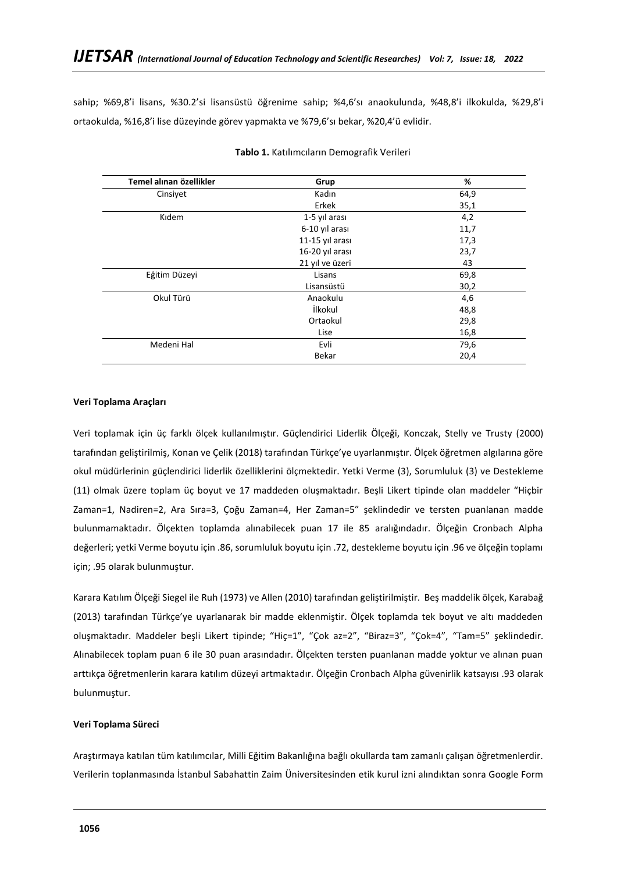sahip; %69,8'i lisans, %30.2'si lisansüstü öğrenime sahip; %4,6'sı anaokulunda, %48,8'i ilkokulda, %29,8'i ortaokulda, %16,8'i lise düzeyinde görev yapmakta ve %79,6'sı bekar, %20,4'ü evlidir.

| Temel alınan özellikler | Grup            | %    |
|-------------------------|-----------------|------|
| Cinsiyet                | Kadın           | 64,9 |
|                         | Erkek           | 35,1 |
| Kıdem                   | 1-5 yıl arası   | 4,2  |
|                         | 6-10 yıl arası  | 11,7 |
|                         | 11-15 yıl arası | 17,3 |
|                         | 16-20 yıl arası | 23,7 |
|                         | 21 yıl ve üzeri | 43   |
| Eğitim Düzeyi           | Lisans          | 69,8 |
|                         | Lisansüstü      | 30,2 |
| Okul Türü               | Anaokulu        | 4,6  |
|                         | İlkokul         | 48,8 |
|                         | Ortaokul        | 29,8 |
|                         | Lise            | 16,8 |
| Medeni Hal              | Evli            | 79,6 |
|                         | Bekar           | 20,4 |

### **Tablo 1.** Katılımcıların Demografik Verileri

## **Veri Toplama Araçları**

Veri toplamak için üç farklı ölçek kullanılmıştır. Güçlendirici Liderlik Ölçeği, Konczak, Stelly ve Trusty (2000) tarafından geliştirilmiş, Konan ve Çelik (2018) tarafından Türkçe'ye uyarlanmıştır. Ölçek öğretmen algılarına göre okul müdürlerinin güçlendirici liderlik özelliklerini ölçmektedir. Yetki Verme (3), Sorumluluk (3) ve Destekleme (11) olmak üzere toplam üç boyut ve 17 maddeden oluşmaktadır. Beşli Likert tipinde olan maddeler "Hiçbir Zaman=1, Nadiren=2, Ara Sıra=3, Çoğu Zaman=4, Her Zaman=5" şeklindedir ve tersten puanlanan madde bulunmamaktadır. Ölçekten toplamda alınabilecek puan 17 ile 85 aralığındadır. Ölçeğin Cronbach Alpha değerleri; yetki Verme boyutu için .86, sorumluluk boyutu için .72, destekleme boyutu için .96 ve ölçeğin toplamı için; .95 olarak bulunmuştur.

Karara Katılım Ölçeği Siegel ile Ruh (1973) ve Allen (2010) tarafından geliştirilmiştir. Beş maddelik ölçek, Karabağ (2013) tarafından Türkçe'ye uyarlanarak bir madde eklenmiştir. Ölçek toplamda tek boyut ve altı maddeden oluşmaktadır. Maddeler beşli Likert tipinde; "Hiç=1", "Çok az=2", "Biraz=3", "Çok=4", "Tam=5" şeklindedir. Alınabilecek toplam puan 6 ile 30 puan arasındadır. Ölçekten tersten puanlanan madde yoktur ve alınan puan arttıkça öğretmenlerin karara katılım düzeyi artmaktadır. Ölçeğin Cronbach Alpha güvenirlik katsayısı .93 olarak bulunmuştur.

### **Veri Toplama Süreci**

Araştırmaya katılan tüm katılımcılar, Milli Eğitim Bakanlığına bağlı okullarda tam zamanlı çalışan öğretmenlerdir. Verilerin toplanmasında İstanbul Sabahattin Zaim Üniversitesinden etik kurul izni alındıktan sonra Google Form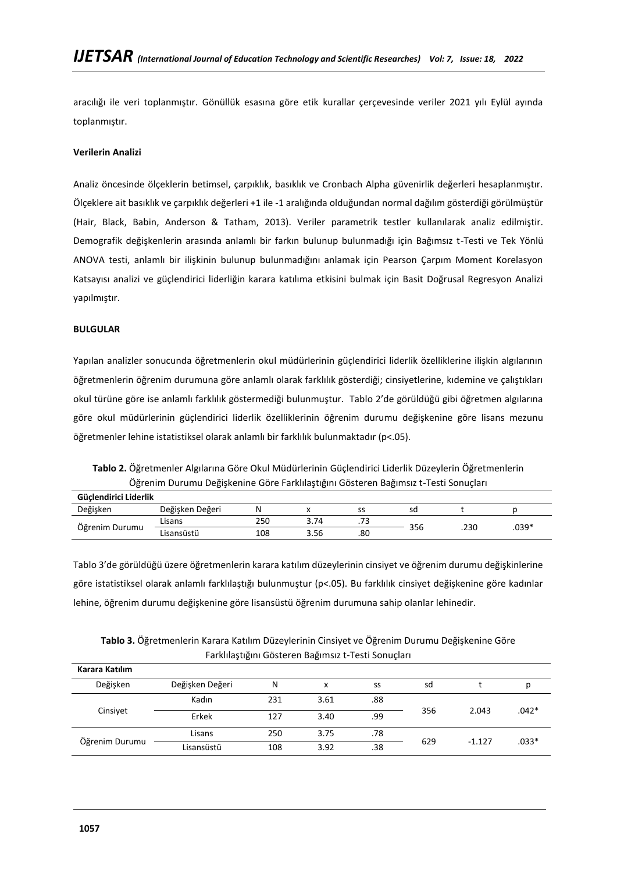aracılığı ile veri toplanmıştır. Gönüllük esasına göre etik kurallar çerçevesinde veriler 2021 yılı Eylül ayında toplanmıştır.

## **Verilerin Analizi**

Analiz öncesinde ölçeklerin betimsel, çarpıklık, basıklık ve Cronbach Alpha güvenirlik değerleri hesaplanmıştır. Ölçeklere ait basıklık ve çarpıklık değerleri +1 ile -1 aralığında olduğundan normal dağılım gösterdiği görülmüştür (Hair, Black, Babin, Anderson & Tatham, 2013). Veriler parametrik testler kullanılarak analiz edilmiştir. Demografik değişkenlerin arasında anlamlı bir farkın bulunup bulunmadığı için Bağımsız t-Testi ve Tek Yönlü ANOVA testi, anlamlı bir ilişkinin bulunup bulunmadığını anlamak için Pearson Çarpım Moment Korelasyon Katsayısı analizi ve güçlendirici liderliğin karara katılıma etkisini bulmak için Basit Doğrusal Regresyon Analizi yapılmıştır.

## **BULGULAR**

Yapılan analizler sonucunda öğretmenlerin okul müdürlerinin güçlendirici liderlik özelliklerine ilişkin algılarının öğretmenlerin öğrenim durumuna göre anlamlı olarak farklılık gösterdiği; cinsiyetlerine, kıdemine ve çalıştıkları okul türüne göre ise anlamlı farklılık göstermediği bulunmuştur. Tablo 2'de görüldüğü gibi öğretmen algılarına göre okul müdürlerinin güçlendirici liderlik özelliklerinin öğrenim durumu değişkenine göre lisans mezunu öğretmenler lehine istatistiksel olarak anlamlı bir farklılık bulunmaktadır (p<.05).

**Tablo 2.** Öğretmenler Algılarına Göre Okul Müdürlerinin Güçlendirici Liderlik Düzeylerin Öğretmenlerin Öğrenim Durumu Değişkenine Göre Farklılaştığını Gösteren Bağımsız t-Testi Sonuçları

| Güclendirici Liderlik |                 |     |      |     |     |      |         |  |
|-----------------------|-----------------|-----|------|-----|-----|------|---------|--|
| Değişken              | Değişken Değeri | N   |      | --  | sd  |      |         |  |
| Öğrenim Durumu        | Lisans          | 250 | 3.74 | د ، | 356 | .230 | $.039*$ |  |
|                       | Lisansüstü      | 108 | 3.56 | .80 |     |      |         |  |

Tablo 3'de görüldüğü üzere öğretmenlerin karara katılım düzeylerinin cinsiyet ve öğrenim durumu değişkinlerine göre istatistiksel olarak anlamlı farklılaştığı bulunmuştur (p<.05). Bu farklılık cinsiyet değişkenine göre kadınlar lehine, öğrenim durumu değişkenine göre lisansüstü öğrenim durumuna sahip olanlar lehinedir.

**Tablo 3.** Öğretmenlerin Karara Katılım Düzeylerinin Cinsiyet ve Öğrenim Durumu Değişkenine Göre Farklılaştığını Gösteren Bağımsız t-Testi Sonuçları

| Karara Katılım |                 |     |      |     |     |          |         |
|----------------|-----------------|-----|------|-----|-----|----------|---------|
| Değişken       | Değişken Değeri | N   | x    | SS  | sd  |          |         |
|                | Kadın           | 231 | 3.61 | .88 | 356 | 2.043    |         |
| Cinsivet       | Erkek           | 127 | 3.40 | .99 |     |          | $.042*$ |
|                | Lisans          | 250 | 3.75 | .78 |     |          |         |
| Öğrenim Durumu | Lisansüstü      | 108 | 3.92 | .38 | 629 | $-1.127$ | $.033*$ |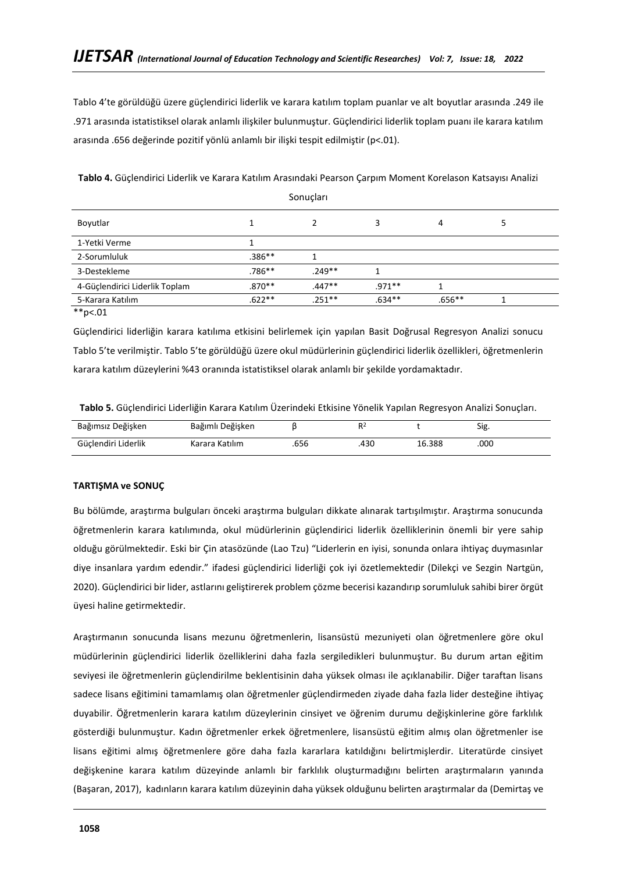Tablo 4'te görüldüğü üzere güçlendirici liderlik ve karara katılım toplam puanlar ve alt boyutlar arasında .249 ile .971 arasında istatistiksel olarak anlamlı ilişkiler bulunmuştur. Güçlendirici liderlik toplam puanı ile karara katılım arasında .656 değerinde pozitif yönlü anlamlı bir ilişki tespit edilmiştir (p<.01).

|                                |           | --------  |           |        |  |
|--------------------------------|-----------|-----------|-----------|--------|--|
| Boyutlar                       |           |           |           | 4      |  |
| 1-Yetki Verme                  |           |           |           |        |  |
| 2-Sorumluluk                   | $.386***$ |           |           |        |  |
| 3-Destekleme                   | $.786***$ | $.249**$  |           |        |  |
| 4-Güçlendirici Liderlik Toplam | $.870**$  | $.447**$  | $.971**$  |        |  |
| 5-Karara Katılım               | $.622**$  | $.251***$ | $.634***$ | .656** |  |

**Tablo 4.** Güçlendirici Liderlik ve Karara Katılım Arasındaki Pearson Çarpım Moment Korelason Katsayısı Analizi Sonuçları

 $*$ <sub>\*</sub> $p$  < 01

Güçlendirici liderliğin karara katılıma etkisini belirlemek için yapılan Basit Doğrusal Regresyon Analizi sonucu Tablo 5'te verilmiştir. Tablo 5'te görüldüğü üzere okul müdürlerinin güçlendirici liderlik özellikleri, öğretmenlerin karara katılım düzeylerini %43 oranında istatistiksel olarak anlamlı bir şekilde yordamaktadır.

| Tablo 5. Güçlendirici Liderliğin Karara Katılım Üzerindeki Etkisine Yönelik Yapılan Regresyon Analizi Sonuçları. |  |
|------------------------------------------------------------------------------------------------------------------|--|
|------------------------------------------------------------------------------------------------------------------|--|

| Bağımsız Değişken   | Bağımlı Değişken |     |     |        | ~.<br>Sig |
|---------------------|------------------|-----|-----|--------|-----------|
| Güclendiri Liderlik | Karara Katılım   | 656 | 430 | 16.388 | .000      |

## **TARTIŞMA ve SONUÇ**

Bu bölümde, araştırma bulguları önceki araştırma bulguları dikkate alınarak tartışılmıştır. Araştırma sonucunda öğretmenlerin karara katılımında, okul müdürlerinin güçlendirici liderlik özelliklerinin önemli bir yere sahip olduğu görülmektedir. Eski bir Çin atasözünde (Lao Tzu) "Liderlerin en iyisi, sonunda onlara ihtiyaç duymasınlar diye insanlara yardım edendir." ifadesi güçlendirici liderliği çok iyi özetlemektedir (Dilekçi ve Sezgin Nartgün, 2020). Güçlendirici bir lider, astlarını geliştirerek problem çözme becerisi kazandırıp sorumluluk sahibi birer örgüt üyesi haline getirmektedir.

Araştırmanın sonucunda lisans mezunu öğretmenlerin, lisansüstü mezuniyeti olan öğretmenlere göre okul müdürlerinin güçlendirici liderlik özelliklerini daha fazla sergiledikleri bulunmuştur. Bu durum artan eğitim seviyesi ile öğretmenlerin güçlendirilme beklentisinin daha yüksek olması ile açıklanabilir. Diğer taraftan lisans sadece lisans eğitimini tamamlamış olan öğretmenler güçlendirmeden ziyade daha fazla lider desteğine ihtiyaç duyabilir. Öğretmenlerin karara katılım düzeylerinin cinsiyet ve öğrenim durumu değişkinlerine göre farklılık gösterdiği bulunmuştur. Kadın öğretmenler erkek öğretmenlere, lisansüstü eğitim almış olan öğretmenler ise lisans eğitimi almış öğretmenlere göre daha fazla kararlara katıldığını belirtmişlerdir. Literatürde cinsiyet değişkenine karara katılım düzeyinde anlamlı bir farklılık oluşturmadığını belirten araştırmaların yanında (Başaran, 2017), kadınların karara katılım düzeyinin daha yüksek olduğunu belirten araştırmalar da (Demirtaş ve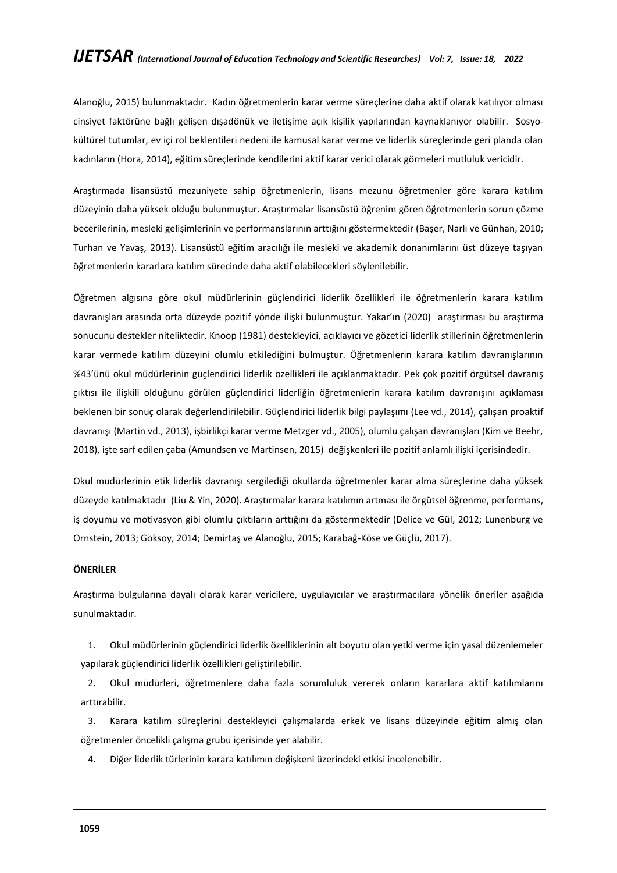Alanoğlu, 2015) bulunmaktadır. Kadın öğretmenlerin karar verme süreçlerine daha aktif olarak katılıyor olması cinsiyet faktörüne bağlı gelişen dışadönük ve iletişime açık kişilik yapılarından kaynaklanıyor olabilir. Sosyokültürel tutumlar, ev içi rol beklentileri nedeni ile kamusal karar verme ve liderlik süreçlerinde geri planda olan kadınların (Hora, 2014), eğitim süreçlerinde kendilerini aktif karar verici olarak görmeleri mutluluk vericidir.

Araştırmada lisansüstü mezuniyete sahip öğretmenlerin, lisans mezunu öğretmenler göre karara katılım düzeyinin daha yüksek olduğu bulunmuştur. Araştırmalar lisansüstü öğrenim gören öğretmenlerin sorun çözme becerilerinin, mesleki gelişimlerinin ve performanslarının arttığını göstermektedir (Başer, Narlı ve Günhan, 2010; Turhan ve Yavaş, 2013). Lisansüstü eğitim aracılığı ile mesleki ve akademik donanımlarını üst düzeye taşıyan öğretmenlerin kararlara katılım sürecinde daha aktif olabilecekleri söylenilebilir.

Öğretmen algısına göre okul müdürlerinin güçlendirici liderlik özellikleri ile öğretmenlerin karara katılım davranışları arasında orta düzeyde pozitif yönde ilişki bulunmuştur. Yakar'ın (2020) araştırması bu araştırma sonucunu destekler niteliktedir. Knoop (1981) destekleyici, açıklayıcı ve gözetici liderlik stillerinin öğretmenlerin karar vermede katılım düzeyini olumlu etkilediğini bulmuştur. Öğretmenlerin karara katılım davranışlarının %43'ünü okul müdürlerinin güçlendirici liderlik özellikleri ile açıklanmaktadır. Pek çok pozitif örgütsel davranış çıktısı ile ilişkili olduğunu görülen güçlendirici liderliğin öğretmenlerin karara katılım davranışını açıklaması beklenen bir sonuç olarak değerlendirilebilir. Güçlendirici liderlik bilgi paylaşımı (Lee vd., 2014), çalışan proaktif davranışı (Martin vd., 2013), işbirlikçi karar verme Metzger vd., 2005), olumlu çalışan davranışları (Kim ve Beehr, 2018), işte sarf edilen çaba (Amundsen ve Martinsen, 2015) değişkenleri ile pozitif anlamlı ilişki içerisindedir.

Okul müdürlerinin etik liderlik davranışı sergilediği okullarda öğretmenler karar alma süreçlerine daha yüksek düzeyde katılmaktadır (Liu & Yin, 2020). Araştırmalar karara katılımın artması ile örgütsel öğrenme, performans, iş doyumu ve motivasyon gibi olumlu çıktıların arttığını da göstermektedir (Delice ve Gül, 2012; Lunenburg ve Ornstein, 2013; Göksoy, 2014; Demirtaş ve Alanoğlu, 2015; Karabağ-Köse ve Güçlü, 2017).

### **ÖNERİLER**

Araştırma bulgularına dayalı olarak karar vericilere, uygulayıcılar ve araştırmacılara yönelik öneriler aşağıda sunulmaktadır.

1. Okul müdürlerinin güçlendirici liderlik özelliklerinin alt boyutu olan yetki verme için yasal düzenlemeler yapılarak güçlendirici liderlik özellikleri geliştirilebilir.

2. Okul müdürleri, öğretmenlere daha fazla sorumluluk vererek onların kararlara aktif katılımlarını arttırabilir.

3. Karara katılım süreçlerini destekleyici çalışmalarda erkek ve lisans düzeyinde eğitim almış olan öğretmenler öncelikli çalışma grubu içerisinde yer alabilir.

4. Diğer liderlik türlerinin karara katılımın değişkeni üzerindeki etkisi incelenebilir.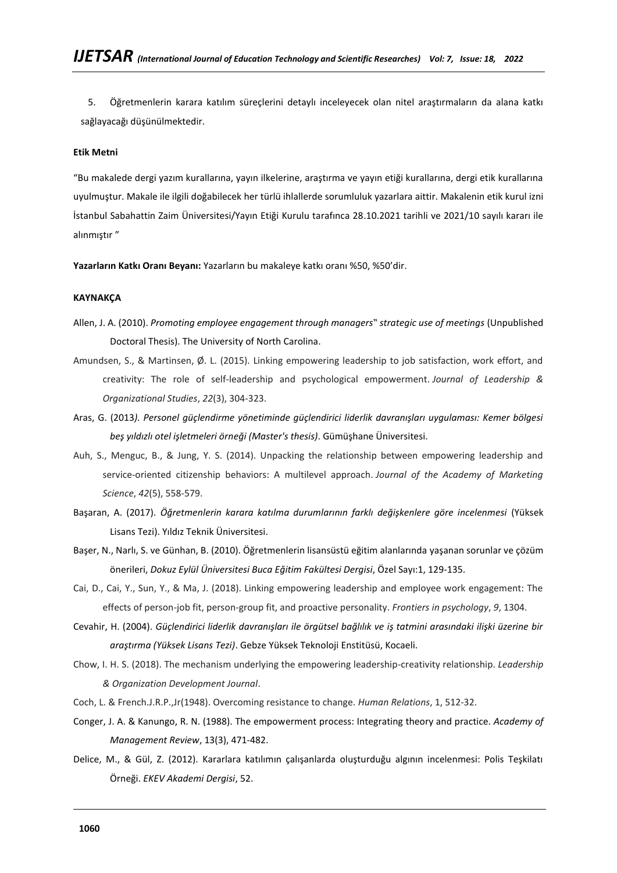5. Öğretmenlerin karara katılım süreçlerini detaylı inceleyecek olan nitel araştırmaların da alana katkı sağlayacağı düşünülmektedir.

### **Etik Metni**

"Bu makalede dergi yazım kurallarına, yayın ilkelerine, araştırma ve yayın etiği kurallarına, dergi etik kurallarına uyulmuştur. Makale ile ilgili doğabilecek her türlü ihlallerde sorumluluk yazarlara aittir. Makalenin etik kurul izni İstanbul Sabahattin Zaim Üniversitesi/Yayın Etiği Kurulu tarafınca 28.10.2021 tarihli ve 2021/10 sayılı kararı ile alınmıştır "

**Yazarların Katkı Oranı Beyanı:** Yazarların bu makaleye katkı oranı %50, %50'dir.

### **KAYNAKÇA**

Allen, J. A. (2010). *Promoting employee engagement through managers" strategic use of meetings* (Unpublished Doctoral Thesis). The University of North Carolina.

- Amundsen, S., & Martinsen, Ø. L. (2015). Linking empowering leadership to job satisfaction, work effort, and creativity: The role of self-leadership and psychological empowerment. *Journal of Leadership & Organizational Studies*, *22*(3), 304-323.
- Aras, G. (2013*). Personel güçlendirme yönetiminde güçlendirici liderlik davranışları uygulaması: Kemer bölgesi beş yıldızlı otel işletmeleri örneği (Master's thesis)*. Gümüşhane Üniversitesi.
- Auh, S., Menguc, B., & Jung, Y. S. (2014). Unpacking the relationship between empowering leadership and service-oriented citizenship behaviors: A multilevel approach. *Journal of the Academy of Marketing Science*, *42*(5), 558-579.
- Başaran, A. (2017). *Öğretmenlerin karara katılma durumlarının farklı değişkenlere göre incelenmesi* (Yüksek Lisans Tezi). Yıldız Teknik Üniversitesi.
- Başer, N., Narlı, S. ve Günhan, B. (2010). Öğretmenlerin lisansüstü eğitim alanlarında yaşanan sorunlar ve çözüm önerileri, *Dokuz Eylül Üniversitesi Buca Eğitim Fakültesi Dergisi*, Özel Sayı:1, 129-135.
- Cai, D., Cai, Y., Sun, Y., & Ma, J. (2018). Linking empowering leadership and employee work engagement: The effects of person-job fit, person-group fit, and proactive personality. *Frontiers in psychology*, *9*, 1304.
- Cevahir, H. (2004). *Güçlendirici liderlik davranışları ile örgütsel bağlılık ve iş tatmini arasındaki ilişki üzerine bir araştırma (Yüksek Lisans Tezi)*. Gebze Yüksek Teknoloji Enstitüsü, Kocaeli.
- Chow, I. H. S. (2018). The mechanism underlying the empowering leadership-creativity relationship. *Leadership & Organization Development Journal*.
- Coch, L. & French.J.R.P.,Jr(1948). Overcoming resistance to change. *Human Relations*, 1, 512-32.
- Conger, J. A. & Kanungo, R. N. (1988). The empowerment process: Integrating theory and practice. *Academy of Management Review*, 13(3), 471-482.
- Delice, M., & Gül, Z. (2012). Kararlara katılımın çalışanlarda oluşturduğu algının incelenmesi: Polis Teşkilatı Örneği. *EKEV Akademi Dergisi*, 52.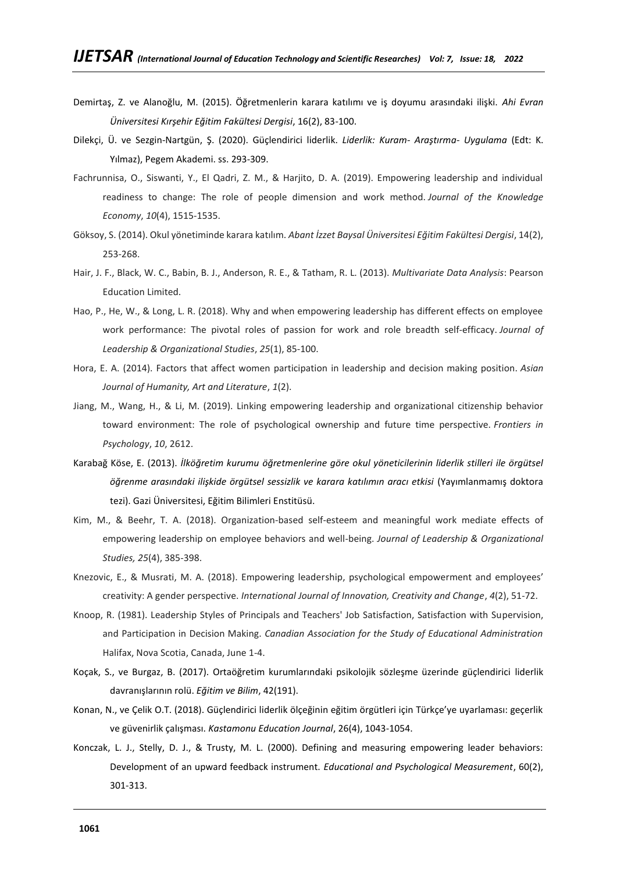- Demirtaş, Z. ve Alanoğlu, M. (2015). Öğretmenlerin karara katılımı ve iş doyumu arasındaki ilişki. *Ahi Evran Üniversitesi Kırşehir Eğitim Fakültesi Dergisi*, 16(2), 83-100.
- Dilekçi, Ü. ve Sezgin-Nartgün, Ş. (2020). Güçlendirici liderlik. *Liderlik: Kuram- Araştırma- Uygulama* (Edt: K. Yılmaz), Pegem Akademi. ss. 293-309.
- Fachrunnisa, O., Siswanti, Y., El Qadri, Z. M., & Harjito, D. A. (2019). Empowering leadership and individual readiness to change: The role of people dimension and work method. *Journal of the Knowledge Economy*, *10*(4), 1515-1535.
- Göksoy, S. (2014). Okul yönetiminde karara katılım. *Abant İzzet Baysal Üniversitesi Eğitim Fakültesi Dergisi*, 14(2), 253-268.
- Hair, J. F., Black, W. C., Babin, B. J., Anderson, R. E., & Tatham, R. L. (2013). *Multivariate Data Analysis*: Pearson Education Limited.
- Hao, P., He, W., & Long, L. R. (2018). Why and when empowering leadership has different effects on employee work performance: The pivotal roles of passion for work and role breadth self-efficacy. *Journal of Leadership & Organizational Studies*, *25*(1), 85-100.
- Hora, E. A. (2014). Factors that affect women participation in leadership and decision making position. *Asian Journal of Humanity, Art and Literature*, *1*(2).
- Jiang, M., Wang, H., & Li, M. (2019). Linking empowering leadership and organizational citizenship behavior toward environment: The role of psychological ownership and future time perspective. *Frontiers in Psychology*, *10*, 2612.
- Karabağ Köse, E. (2013). *İlköğretim kurumu öğretmenlerine göre okul yöneticilerinin liderlik stilleri ile örgütsel öğrenme arasındaki ilişkide örgütsel sessizlik ve karara katılımın aracı etkisi* (Yayımlanmamış doktora tezi). Gazi Üniversitesi, Eğitim Bilimleri Enstitüsü.
- Kim, M., & Beehr, T. A. (2018). Organization-based self-esteem and meaningful work mediate effects of empowering leadership on employee behaviors and well-being. *Journal of Leadership & Organizational Studies, 25*(4), 385-398.
- Knezovic, E., & Musrati, M. A. (2018). Empowering leadership, psychological empowerment and employees' creativity: A gender perspective. *International Journal of Innovation, Creativity and Change*, *4*(2), 51-72.
- Knoop, R. (1981). Leadership Styles of Principals and Teachers' Job Satisfaction, Satisfaction with Supervision, and Participation in Decision Making. *Canadian Association for the Study of Educational Administration* Halifax, Nova Scotia, Canada, June 1-4.
- Koçak, S., ve Burgaz, B. (2017). Ortaöğretim kurumlarındaki psikolojik sözleşme üzerinde güçlendirici liderlik davranışlarının rolü. *Eğitim ve Bilim*, 42(191).
- Konan, N., ve Çelik O.T. (2018). Güçlendirici liderlik ölçeğinin eğitim örgütleri için Türkçe'ye uyarlaması: geçerlik ve güvenirlik çalışması. *Kastamonu Education Journal*, 26(4), 1043-1054.
- Konczak, L. J., Stelly, D. J., & Trusty, M. L. (2000). Defining and measuring empowering leader behaviors: Development of an upward feedback instrument. *Educational and Psychological Measurement*, 60(2), 301-313.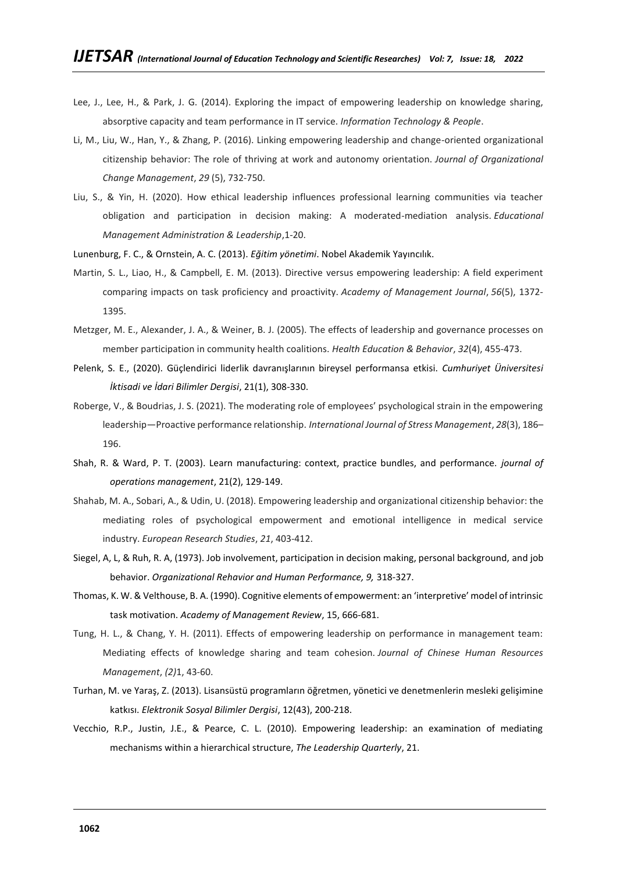- Lee, J., Lee, H., & Park, J. G. (2014). Exploring the impact of empowering leadership on knowledge sharing, absorptive capacity and team performance in IT service. *Information Technology & People*.
- Li, M., Liu, W., Han, Y., & Zhang, P. (2016). Linking empowering leadership and change-oriented organizational citizenship behavior: The role of thriving at work and autonomy orientation. *Journal of Organizational Change Management*, *29* (5), 732-750.
- Liu, S., & Yin, H. (2020). How ethical leadership influences professional learning communities via teacher obligation and participation in decision making: A moderated-mediation analysis. *Educational Management Administration & Leadership*,1-20.

Lunenburg, F. C., & Ornstein, A. C. (2013). *Eğitim yönetimi*. Nobel Akademik Yayıncılık.

- Martin, S. L., Liao, H., & Campbell, E. M. (2013). Directive versus empowering leadership: A field experiment comparing impacts on task proficiency and proactivity. *Academy of Management Journal*, *56*(5), 1372- 1395.
- Metzger, M. E., Alexander, J. A., & Weiner, B. J. (2005). The effects of leadership and governance processes on member participation in community health coalitions. *Health Education & Behavior*, *32*(4), 455-473.
- Pelenk, S. E., (2020). Güçlendirici liderlik davranışlarının bireysel performansa etkisi. *Cumhuriyet Üniversitesi İktisadi ve İdari Bilimler Dergisi*, 21(1), 308-330.
- Roberge, V., & Boudrias, J. S. (2021). The moderating role of employees' psychological strain in the empowering leadership—Proactive performance relationship. *International Journal of Stress Management*, *28*(3), 186– 196.
- Shah, R. & Ward, P. T. (2003). Learn manufacturing: context, practice bundles, and performance. *journal of operations management*, 21(2), 129-149.
- Shahab, M. A., Sobari, A., & Udin, U. (2018). Empowering leadership and organizational citizenship behavior: the mediating roles of psychological empowerment and emotional intelligence in medical service industry. *European Research Studies*, *21*, 403-412.
- Siegel, A, L, & Ruh, R. A, (1973). Job involvement, participation in decision making, personal background, and job behavior. *Organizational Rehavior and Human Performance, 9,* 318-327.
- Thomas, K. W. & Velthouse, B. A. (1990). Cognitive elements of empowerment: an 'interpretive' model of intrinsic task motivation. *Academy of Management Review*, 15, 666-681.
- Tung, H. L., & Chang, Y. H. (2011). Effects of empowering leadership on performance in management team: Mediating effects of knowledge sharing and team cohesion. *Journal of Chinese Human Resources Management*, *(2)*1, 43-60.
- Turhan, M. ve Yaraş, Z. (2013). Lisansüstü programların öğretmen, yönetici ve denetmenlerin mesleki gelişimine katkısı. *Elektronik Sosyal Bilimler Dergisi*, 12(43), 200-218.
- Vecchio, R.P., Justin, J.E., & Pearce, C. L. (2010). Empowering leadership: an examination of mediating mechanisms within a hierarchical structure, *The Leadership Quarterly*, 21.